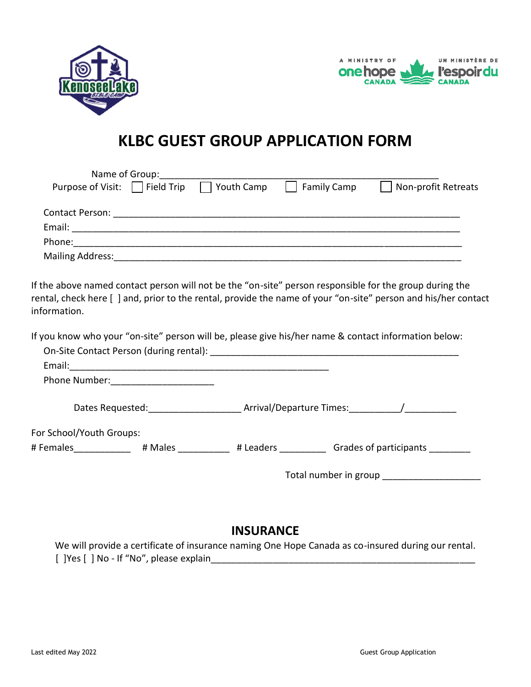



# **KLBC GUEST GROUP APPLICATION FORM**

|                                     | Name of Group: |                   |                    |                     |
|-------------------------------------|----------------|-------------------|--------------------|---------------------|
| Purpose of Visit: $\Box$ Field Trip |                | $\Box$ Youth Camp | <b>Family Camp</b> | Non-profit Retreats |
| Contact Person:                     |                |                   |                    |                     |
| Email:                              |                |                   |                    |                     |
| Phone:                              |                |                   |                    |                     |
| Mailing Address:                    |                |                   |                    |                     |

If the above named contact person will not be the "on-site" person responsible for the group during the rental, check here [ ] and, prior to the rental, provide the name of your "on-site" person and his/her contact information.

If you know who your "on-site" person will be, please give his/her name & contact information below:

|                                       | On-Site Contact Person (during rental): |                            |                                 |
|---------------------------------------|-----------------------------------------|----------------------------|---------------------------------|
| Email:                                |                                         |                            |                                 |
|                                       | Phone Number: <u>_________________</u>  |                            |                                 |
| Dates Requested: ____________________ |                                         | Arrival/Departure Times: / |                                 |
| For School/Youth Groups:              |                                         |                            |                                 |
| # Females                             | # Males                                 | # Leaders The Leaders      | Grades of participants          |
|                                       |                                         |                            | Total number in group _________ |

# **INSURANCE**

We will provide a certificate of insurance naming One Hope Canada as co-insured during our rental. [ ]Yes [ ] No - If "No", please explain